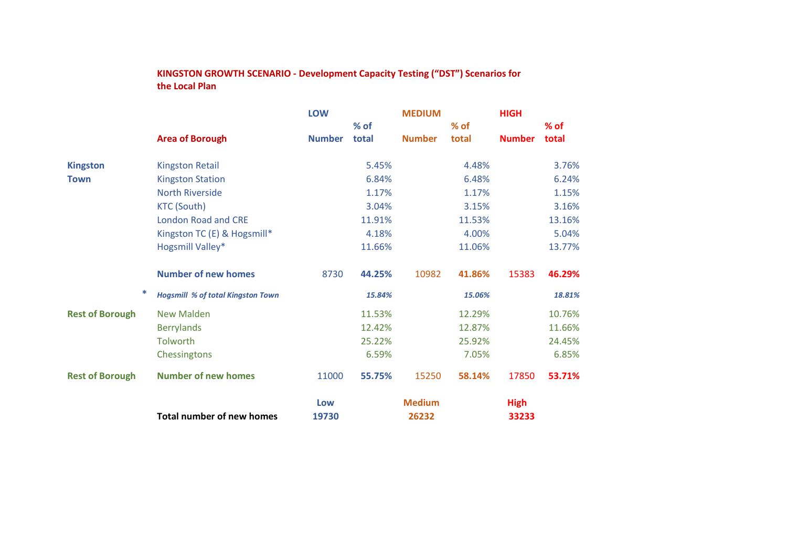## **KINGSTON GROWTH SCENARIO - Development Capacity Testing ("DST") Scenarios for the Local Plan**

|                        | <b>Area of Borough</b>                   | <b>LOW</b>    |                 | <b>MEDIUM</b> | <b>HIGH</b>     |               |                 |
|------------------------|------------------------------------------|---------------|-----------------|---------------|-----------------|---------------|-----------------|
|                        |                                          | <b>Number</b> | $%$ of<br>total | <b>Number</b> | $%$ of<br>total | <b>Number</b> | $%$ of<br>total |
|                        |                                          |               |                 |               |                 |               |                 |
| <b>Kingston</b>        | <b>Kingston Retail</b>                   |               | 5.45%           |               | 4.48%           |               | 3.76%           |
| <b>Town</b>            | <b>Kingston Station</b>                  |               | 6.84%           |               | 6.48%           |               | 6.24%           |
|                        | <b>North Riverside</b>                   |               | 1.17%           |               | 1.17%           |               | 1.15%           |
|                        | <b>KTC (South)</b>                       |               | 3.04%           |               | 3.15%           |               | 3.16%           |
|                        | <b>London Road and CRE</b>               |               | 11.91%          |               | 11.53%          |               | 13.16%          |
|                        | Kingston TC (E) & Hogsmill*              |               | 4.18%           |               | 4.00%           |               | 5.04%           |
|                        | Hogsmill Valley*                         |               | 11.66%          |               | 11.06%          |               | 13.77%          |
|                        | <b>Number of new homes</b>               | 8730          | 44.25%          | 10982         | 41.86%          | 15383         | 46.29%          |
| *                      | <b>Hogsmill % of total Kingston Town</b> |               | 15.84%          |               | 15.06%          |               | 18.81%          |
| <b>Rest of Borough</b> | <b>New Malden</b>                        |               | 11.53%          |               | 12.29%          |               | 10.76%          |
|                        | <b>Berrylands</b>                        |               | 12.42%          |               | 12.87%          |               | 11.66%          |
|                        | Tolworth                                 |               | 25.22%          |               | 25.92%          |               | 24.45%          |
|                        | Chessingtons                             |               | 6.59%           |               | 7.05%           |               | 6.85%           |
| <b>Rest of Borough</b> | <b>Number of new homes</b>               | 11000         | 55.75%          | 15250         | 58.14%          | 17850         | 53.71%          |
|                        |                                          | Low           |                 | <b>Medium</b> |                 | <b>High</b>   |                 |
|                        | <b>Total number of new homes</b>         | 19730         |                 | 26232         |                 | 33233         |                 |